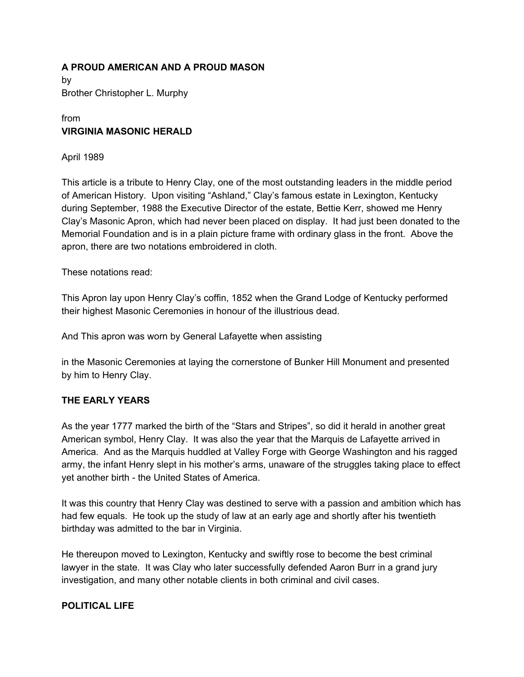#### **A PROUD AMERICAN AND A PROUD MASON**

by Brother Christopher L. Murphy

# from **VIRGINIA MASONIC HERALD**

April 1989

This article is a tribute to Henry Clay, one of the most outstanding leaders in the middle period of American History. Upon visiting "Ashland," Clay's famous estate in Lexington, Kentucky during September, 1988 the Executive Director of the estate, Bettie Kerr, showed me Henry Clay's Masonic Apron, which had never been placed on display. It had just been donated to the Memorial Foundation and is in a plain picture frame with ordinary glass in the front. Above the apron, there are two notations embroidered in cloth.

These notations read:

This Apron lay upon Henry Clay's coffin, 1852 when the Grand Lodge of Kentucky performed their highest Masonic Ceremonies in honour of the illustrious dead.

And This apron was worn by General Lafayette when assisting

in the Masonic Ceremonies at laying the cornerstone of Bunker Hill Monument and presented by him to Henry Clay.

# **THE EARLY YEARS**

As the year 1777 marked the birth of the "Stars and Stripes", so did it herald in another great American symbol, Henry Clay. It was also the year that the Marquis de Lafayette arrived in America. And as the Marquis huddled at Valley Forge with George Washington and his ragged army, the infant Henry slept in his mother's arms, unaware of the struggles taking place to effect yet another birth - the United States of America.

It was this country that Henry Clay was destined to serve with a passion and ambition which has had few equals. He took up the study of law at an early age and shortly after his twentieth birthday was admitted to the bar in Virginia.

He thereupon moved to Lexington, Kentucky and swiftly rose to become the best criminal lawyer in the state. It was Clay who later successfully defended Aaron Burr in a grand jury investigation, and many other notable clients in both criminal and civil cases.

# **POLITICAL LIFE**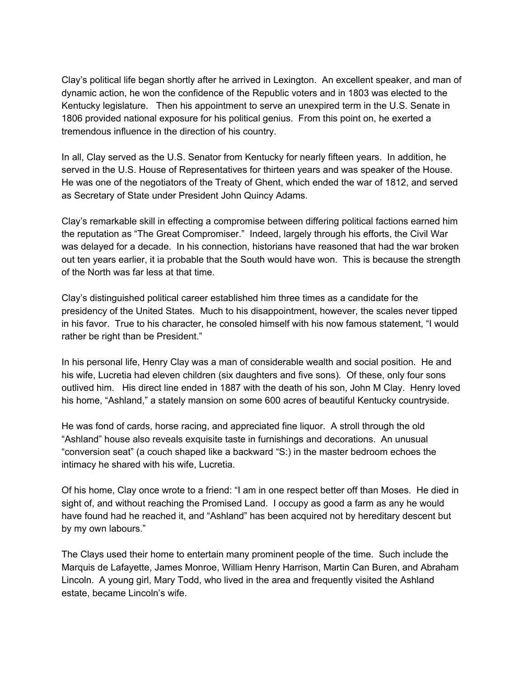Clay's political life began shortly after he arrived in Lexington. An excellent speaker, and man of dynamic action, he won the confidence of the Republic voters and in 1803 was elected to the Kentucky legislature. Then his appointment to serve an unexpired term in the U.S. Senate in 1806 provided national exposure for his political genius. From this point on, he exerted a tremendous influence in the direction of his country.

In all, Clay served as the U.S. Senator from Kentucky for nearly fifteen years. In addition, he served in the U.S. House of Representatives for thirteen years and was speaker of the House. He was one of the negotiators of the Treaty of Ghent, which ended the war of 1812, and served as Secretary of State under President John Quincy Adams.

Clay's remarkable skill in effecting a compromise between differing political factions earned him the reputation as "The Great Compromiser." Indeed, largely through his efforts, the Civil War was delayed for a decade. In his connection, historians have reasoned that had the war broken out ten years earlier, it ia probable that the South would have won. This is because the strength of the North was far less at that time.

Clay's distinguished political career established him three times as a candidate for the presidency of the United States. Much to his disappointment, however, the scales never tipped in his favor. True to his character, he consoled himself with his now famous statement, "I would rather be right than be President."

In his personal life, Henry Clay was a man of considerable wealth and social position. He and his wife, Lucretia had eleven children (six daughters and five sons). Of these, only four sons outlived him. His direct line ended in 1887 with the death of his son, John M Clay. Henry loved his home, "Ashland," a stately mansion on some 600 acres of beautiful Kentucky countryside.

He was fond of cards, horse racing, and appreciated fine liquor. A stroll through the old "Ashland" house also reveals exquisite taste in furnishings and decorations. An unusual "conversion seat" (a couch shaped like a backward "S:) in the master bedroom echoes the intimacy he shared with his wife, Lucretia.

Of his home, Clay once wrote to a friend: "I am in one respect better off than Moses. He died in sight of, and without reaching the Promised Land. I occupy as good a farm as any he would have found had he reached it, and "Ashland" has been acquired not by hereditary descent but by my own labours."

The Clays used their home to entertain many prominent people of the time. Such include the Marquis de Lafayette, James Monroe, William Henry Harrison, Martin Can Buren, and Abraham Lincoln. A young girl, Mary Todd, who lived in the area and frequently visited the Ashland estate, became Lincoln's wife.